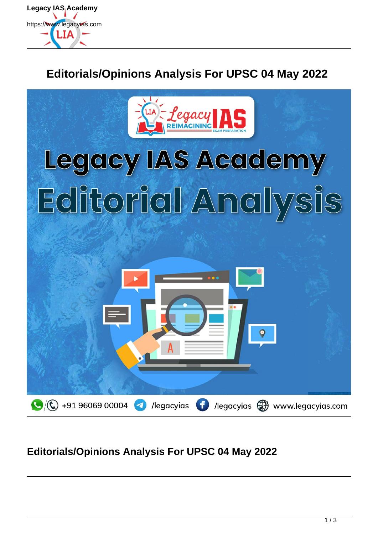

# **Editorials/Opinions Analysis For UPSC 04 May 2022**



### **Editorials/Opinions Analysis For UPSC 04 May 2022**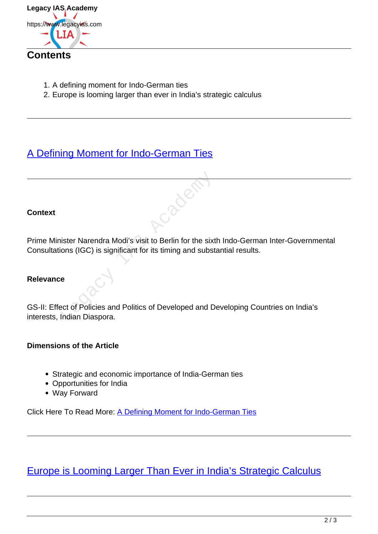

- 1. A defining moment for Indo-German ties
- 2. Europe is looming larger than ever in India's strategic calculus

## [A Defining Moment for Indo-German Ties](https://www.legacyias.com/indo-german-ties/)

#### **Context**

Prime Minister Narendra Modi's visit to Berlin for the sixth Indo-German Inter-Governmental Consultations (IGC) is significant for its timing and substantial results.

#### **Relevance**

GS-II: Effect of Policies and Politics of Developed and Developing Countries on India's interests, Indian Diaspora. Exter Narendra Modi's visit to Berlin for the sixt<br>ions (IGC) is significant for its timing and subst<br>e<br>et of Policies and Politics of Developed and D<br>Indian Diaspora.

#### **Dimensions of the Article**

- Strategic and economic importance of India-German ties
- Opportunities for India
- Way Forward

Click Here To Read More: A Defining Moment for Indo-German Ties

Europe is Looming Larger Than Ever in India's Strategic Calculus